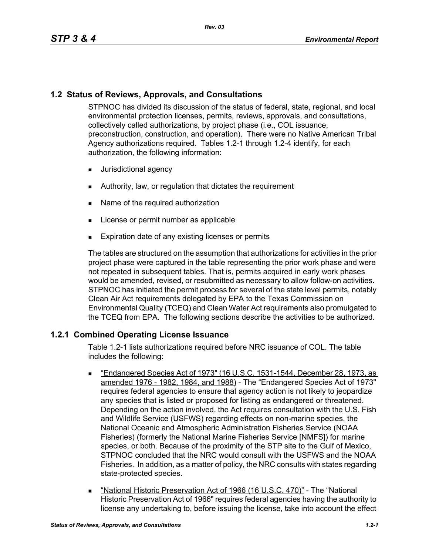# **1.2 Status of Reviews, Approvals, and Consultations**

STPNOC has divided its discussion of the status of federal, state, regional, and local environmental protection licenses, permits, reviews, approvals, and consultations, collectively called authorizations, by project phase (i.e., COL issuance, preconstruction, construction, and operation). There were no Native American Tribal Agency authorizations required. Tables 1.2-1 through 1.2-4 identify, for each authorization, the following information:

- **Jurisdictional agency**
- **EXECUTE:** Authority, law, or regulation that dictates the requirement
- Name of the required authorization
- **License or permit number as applicable**
- **Expiration date of any existing licenses or permits**

The tables are structured on the assumption that authorizations for activities in the prior project phase were captured in the table representing the prior work phase and were not repeated in subsequent tables. That is, permits acquired in early work phases would be amended, revised, or resubmitted as necessary to allow follow-on activities. STPNOC has initiated the permit process for several of the state level permits, notably Clean Air Act requirements delegated by EPA to the Texas Commission on Environmental Quality (TCEQ) and Clean Water Act requirements also promulgated to the TCEQ from EPA. The following sections describe the activities to be authorized.

# **1.2.1 Combined Operating License Issuance**

Table 1.2-1 lists authorizations required before NRC issuance of COL. The table includes the following:

- "Endangered Species Act of 1973" (16 U.S.C. 1531-1544, December 28, 1973, as amended 1976 - 1982, 1984, and 1988) - The "Endangered Species Act of 1973" requires federal agencies to ensure that agency action is not likely to jeopardize any species that is listed or proposed for listing as endangered or threatened. Depending on the action involved, the Act requires consultation with the U.S. Fish and Wildlife Service (USFWS) regarding effects on non-marine species, the National Oceanic and Atmospheric Administration Fisheries Service (NOAA Fisheries) (formerly the National Marine Fisheries Service [NMFS]) for marine species, or both. Because of the proximity of the STP site to the Gulf of Mexico, STPNOC concluded that the NRC would consult with the USFWS and the NOAA Fisheries. In addition, as a matter of policy, the NRC consults with states regarding state-protected species.
- "National Historic Preservation Act of 1966 (16 U.S.C. 470)" The "National Historic Preservation Act of 1966" requires federal agencies having the authority to license any undertaking to, before issuing the license, take into account the effect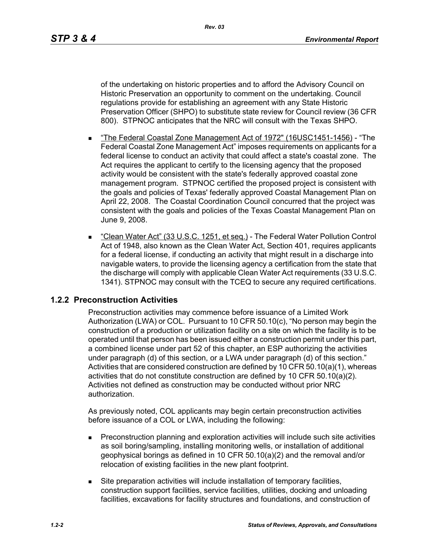of the undertaking on historic properties and to afford the Advisory Council on Historic Preservation an opportunity to comment on the undertaking. Council regulations provide for establishing an agreement with any State Historic Preservation Officer (SHPO) to substitute state review for Council review (36 CFR 800). STPNOC anticipates that the NRC will consult with the Texas SHPO.

- "The Federal Coastal Zone Management Act of 1972" (16USC1451-1456) "The Federal Coastal Zone Management Act" imposes requirements on applicants for a federal license to conduct an activity that could affect a state's coastal zone. The Act requires the applicant to certify to the licensing agency that the proposed activity would be consistent with the state's federally approved coastal zone management program. STPNOC certified the proposed project is consistent with the goals and policies of Texas' federally approved Coastal Management Plan on April 22, 2008. The Coastal Coordination Council concurred that the project was consistent with the goals and policies of the Texas Coastal Management Plan on June 9, 2008.
- "Clean Water Act" (33 U.S.C. 1251, et seq.) The Federal Water Pollution Control Act of 1948, also known as the Clean Water Act, Section 401, requires applicants for a federal license, if conducting an activity that might result in a discharge into navigable waters, to provide the licensing agency a certification from the state that the discharge will comply with applicable Clean Water Act requirements (33 U.S.C. 1341). STPNOC may consult with the TCEQ to secure any required certifications.

# **1.2.2 Preconstruction Activities**

Preconstruction activities may commence before issuance of a Limited Work Authorization (LWA) or COL. Pursuant to 10 CFR 50.10(c), "No person may begin the construction of a production or utilization facility on a site on which the facility is to be operated until that person has been issued either a construction permit under this part, a combined license under part 52 of this chapter, an ESP authorizing the activities under paragraph (d) of this section, or a LWA under paragraph (d) of this section." Activities that are considered construction are defined by 10 CFR 50.10(a)(1), whereas activities that do not constitute construction are defined by 10 CFR 50.10(a)(2). Activities not defined as construction may be conducted without prior NRC authorization.

As previously noted, COL applicants may begin certain preconstruction activities before issuance of a COL or LWA, including the following:

- Preconstruction planning and exploration activities will include such site activities as soil boring/sampling, installing monitoring wells, or installation of additional geophysical borings as defined in 10 CFR 50.10(a)(2) and the removal and/or relocation of existing facilities in the new plant footprint.
- Site preparation activities will include installation of temporary facilities, construction support facilities, service facilities, utilities, docking and unloading facilities, excavations for facility structures and foundations, and construction of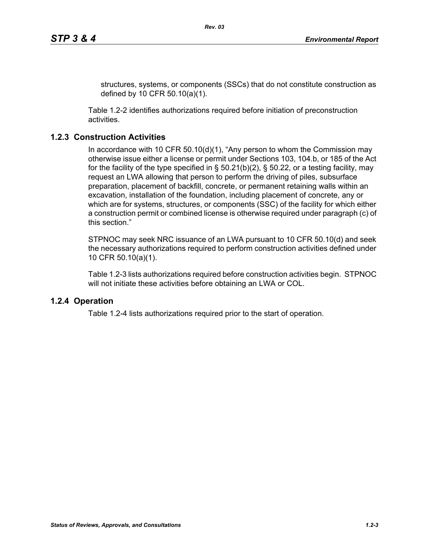structures, systems, or components (SSCs) that do not constitute construction as defined by 10 CFR 50.10(a)(1).

Table 1.2-2 identifies authorizations required before initiation of preconstruction activities.

### **1.2.3 Construction Activities**

In accordance with 10 CFR 50.10(d)(1), "Any person to whom the Commission may otherwise issue either a license or permit under Sections 103, 104.b, or 185 of the Act for the facility of the type specified in  $\S$  50.21(b)(2),  $\S$  50.22, or a testing facility, may request an LWA allowing that person to perform the driving of piles, subsurface preparation, placement of backfill, concrete, or permanent retaining walls within an excavation, installation of the foundation, including placement of concrete, any or which are for systems, structures, or components (SSC) of the facility for which either a construction permit or combined license is otherwise required under paragraph (c) of this section."

STPNOC may seek NRC issuance of an LWA pursuant to 10 CFR 50.10(d) and seek the necessary authorizations required to perform construction activities defined under 10 CFR 50.10(a)(1).

Table 1.2-3 lists authorizations required before construction activities begin. STPNOC will not initiate these activities before obtaining an LWA or COL.

### **1.2.4 Operation**

Table 1.2-4 lists authorizations required prior to the start of operation.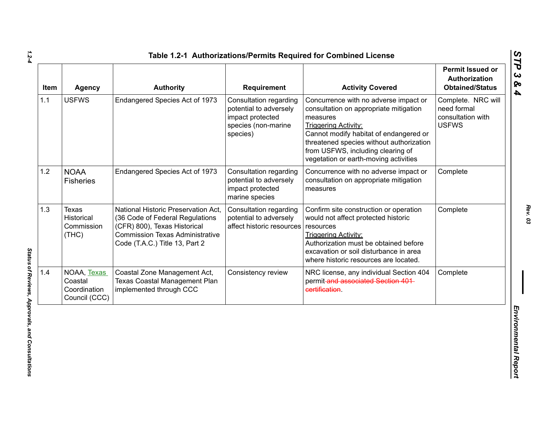| Item | <b>Agency</b>                                           | <b>Authority</b>                                                                                                                                                                   | Requirement                                                                                             | <b>Activity Covered</b>                                                                                                                                                                                                                                                                        | Permit Issued or<br>Authorization<br><b>Obtained/Status</b>            |
|------|---------------------------------------------------------|------------------------------------------------------------------------------------------------------------------------------------------------------------------------------------|---------------------------------------------------------------------------------------------------------|------------------------------------------------------------------------------------------------------------------------------------------------------------------------------------------------------------------------------------------------------------------------------------------------|------------------------------------------------------------------------|
| 1.1  | <b>USFWS</b>                                            | Endangered Species Act of 1973                                                                                                                                                     | Consultation regarding<br>potential to adversely<br>impact protected<br>species (non-marine<br>species) | Concurrence with no adverse impact or<br>consultation on appropriate mitigation<br>measures<br><b>Triggering Activity:</b><br>Cannot modify habitat of endangered or<br>threatened species without authorization<br>from USFWS, including clearing of<br>vegetation or earth-moving activities | Complete. NRC will<br>need formal<br>consultation with<br><b>USFWS</b> |
| 1.2  | <b>NOAA</b><br><b>Fisheries</b>                         | Endangered Species Act of 1973                                                                                                                                                     | Consultation regarding<br>potential to adversely<br>impact protected<br>marine species                  | Concurrence with no adverse impact or<br>consultation on appropriate mitigation<br>measures                                                                                                                                                                                                    | Complete                                                               |
| 1.3  | Texas<br>Historical<br>Commission<br>(THE)              | National Historic Preservation Act.<br>(36 Code of Federal Regulations<br>(CFR) 800), Texas Historical<br><b>Commission Texas Administrative</b><br>Code (T.A.C.) Title 13, Part 2 | Consultation regarding<br>potential to adversely<br>affect historic resources                           | Confirm site construction or operation<br>would not affect protected historic<br>resources<br><b>Triggering Activity:</b><br>Authorization must be obtained before<br>excavation or soil disturbance in area<br>where historic resources are located.                                          | Complete                                                               |
| 1.4  | NOAA, Texas<br>Coastal<br>Coordination<br>Council (CCC) | Coastal Zone Management Act,<br><b>Texas Coastal Management Plan</b><br>implemented through CCC                                                                                    | Consistency review                                                                                      | NRC license, any individual Section 404<br>permit-and associated Section 401-<br>certification.                                                                                                                                                                                                | Complete                                                               |

Status of Reviews, Approvals, and Consultations *Status of Reviews, Approvals, and Consultations*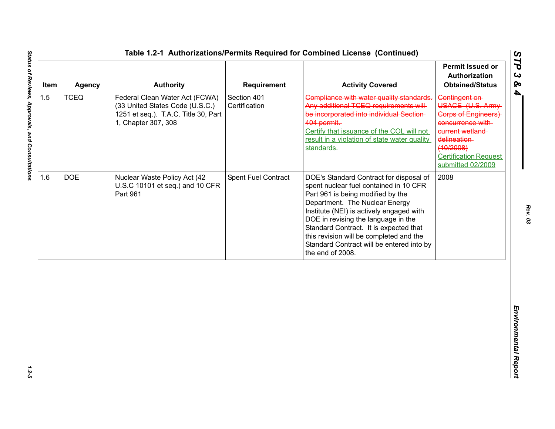| Item | <b>Agency</b> | <b>Authority</b>                                                                                                                 | <b>Requirement</b>           | <b>Activity Covered</b>                                                                                                                                                                                                                                                                                                                                                                           | <b>Permit Issued or</b><br><b>Authorization</b><br><b>Obtained/Status</b>                                                                                                                |
|------|---------------|----------------------------------------------------------------------------------------------------------------------------------|------------------------------|---------------------------------------------------------------------------------------------------------------------------------------------------------------------------------------------------------------------------------------------------------------------------------------------------------------------------------------------------------------------------------------------------|------------------------------------------------------------------------------------------------------------------------------------------------------------------------------------------|
| 1.5  | <b>TCEQ</b>   | Federal Clean Water Act (FCWA)<br>(33 United States Code (U.S.C.)<br>1251 et seq.). T.A.C. Title 30, Part<br>1, Chapter 307, 308 | Section 401<br>Certification | Compliance with water quality standards.<br>Any additional TCEQ requirements will<br>be incorporated into individual Section-<br>404 permit.<br>Certify that issuance of the COL will not<br>result in a violation of state water quality<br>standards.                                                                                                                                           | Contingent on<br>USACE (U.S. Army<br><b>Corps of Engineers)</b><br>concurrence with<br>current wetland<br>delineation-<br>(10/2008)<br><b>Certification Request</b><br>submitted 02/2009 |
| 1.6  | <b>DOE</b>    | Nuclear Waste Policy Act (42<br>U.S.C 10101 et seq.) and 10 CFR<br>Part 961                                                      | Spent Fuel Contract          | DOE's Standard Contract for disposal of<br>spent nuclear fuel contained in 10 CFR<br>Part 961 is being modified by the<br>Department. The Nuclear Energy<br>Institute (NEI) is actively engaged with<br>DOE in revising the language in the<br>Standard Contract. It is expected that<br>this revision will be completed and the<br>Standard Contract will be entered into by<br>the end of 2008. | 2008                                                                                                                                                                                     |
|      |               |                                                                                                                                  |                              |                                                                                                                                                                                                                                                                                                                                                                                                   |                                                                                                                                                                                          |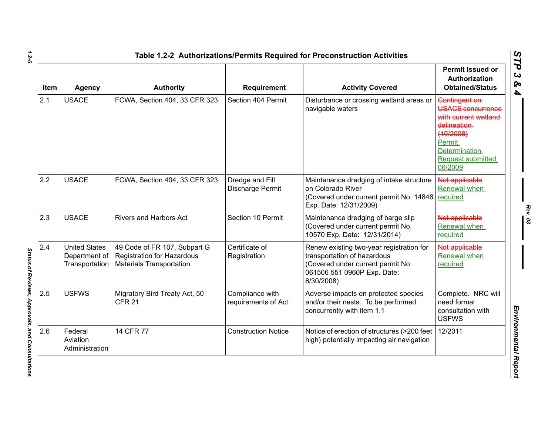| <b>Item</b> | <b>Agency</b>                                           | <b>Authority</b>                                                                              | Requirement                            | <b>Activity Covered</b>                                                                                                                                   | Permit Issued or<br>Authorization<br><b>Obtained/Status</b>                                                                                        |
|-------------|---------------------------------------------------------|-----------------------------------------------------------------------------------------------|----------------------------------------|-----------------------------------------------------------------------------------------------------------------------------------------------------------|----------------------------------------------------------------------------------------------------------------------------------------------------|
| 2.1         | <b>USACE</b>                                            | FCWA, Section 404, 33 CFR 323                                                                 | Section 404 Permit                     | Disturbance or crossing wetland areas or<br>navigable waters                                                                                              | Contingent on<br>USACE concurrence<br>with current wetland<br>delineation-<br>(10/2008)<br>Permit<br>Determination<br>Request submitted<br>06/2009 |
| 2.2         | <b>USACE</b>                                            | FCWA, Section 404, 33 CFR 323                                                                 | Dredge and Fill<br>Discharge Permit    | Maintenance dredging of intake structure<br>on Colorado River<br>(Covered under current permit No. 14848<br>Exp. Date: 12/31/2009)                        | Not applicable<br>Renewal when<br>required                                                                                                         |
| 2.3         | <b>USACE</b>                                            | <b>Rivers and Harbors Act</b>                                                                 | Section 10 Permit                      | Maintenance dredging of barge slip<br>(Covered under current permit No.<br>10570 Exp. Date: 12/31/2014)                                                   | Not applicable<br>Renewal when<br>required                                                                                                         |
| 2.4         | <b>United States</b><br>Department of<br>Transportation | 49 Code of FR 107, Subpart G<br>Registration for Hazardous<br><b>Materials Transportation</b> | Certificate of<br>Registration         | Renew existing two-year registration for<br>transportation of hazardous<br>(Covered under current permit No.<br>061506 551 0960P Exp. Date:<br>6/30/2008) | Not applicable<br>Renewal when<br>required                                                                                                         |
| 2.5         | <b>USFWS</b>                                            | Migratory Bird Treaty Act, 50<br><b>CFR 21</b>                                                | Compliance with<br>requirements of Act | Adverse impacts on protected species<br>and/or their nests. To be performed<br>concurrently with item 1.1                                                 | Complete. NRC will<br>need formal<br>consultation with<br><b>USFWS</b>                                                                             |
| 2.6         | Federal<br>Aviation<br>Administration                   | 14 CFR 77                                                                                     | <b>Construction Notice</b>             | Notice of erection of structures (>200 feet<br>high) potentially impacting air navigation                                                                 | 12/2011                                                                                                                                            |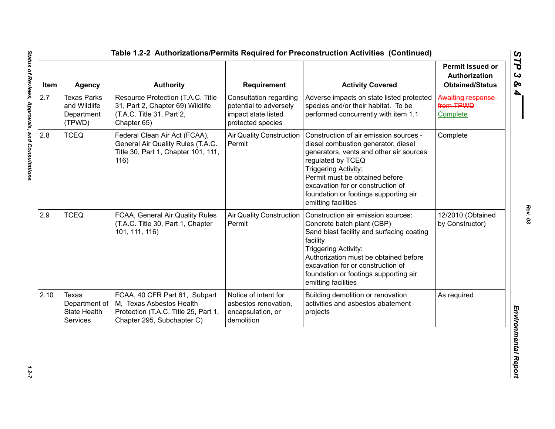| Item | <b>Agency</b>                                              | <b>Authority</b>                                                                                                                | Requirement                                                                                  | <b>Activity Covered</b>                                                                                                                                                                                                                                                                                             | <b>Permit Issued or</b><br>Authorization<br><b>Obtained/Status</b> |
|------|------------------------------------------------------------|---------------------------------------------------------------------------------------------------------------------------------|----------------------------------------------------------------------------------------------|---------------------------------------------------------------------------------------------------------------------------------------------------------------------------------------------------------------------------------------------------------------------------------------------------------------------|--------------------------------------------------------------------|
| 2.7  | <b>Texas Parks</b><br>and Wildlife<br>Department<br>(TPWD) | Resource Protection (T.A.C. Title<br>31, Part 2, Chapter 69) Wildlife<br>(T.A.C. Title 31, Part 2,<br>Chapter 65)               | Consultation regarding<br>potential to adversely<br>impact state listed<br>protected species | Adverse impacts on state listed protected<br>species and/or their habitat. To be<br>performed concurrently with item 1.1                                                                                                                                                                                            | Awaiting response<br>from TPWD<br>Complete                         |
| 2.8  | <b>TCEQ</b>                                                | Federal Clean Air Act (FCAA),<br>General Air Quality Rules (T.A.C.<br>Title 30, Part 1, Chapter 101, 111,<br>116)               | <b>Air Quality Construction</b><br>Permit                                                    | Construction of air emission sources -<br>diesel combustion generator, diesel<br>generators, vents and other air sources<br>regulated by TCEQ<br><b>Triggering Activity:</b><br>Permit must be obtained before<br>excavation for or construction of<br>foundation or footings supporting air<br>emitting facilities | Complete                                                           |
| 2.9  | <b>TCEQ</b>                                                | FCAA, General Air Quality Rules<br>(T.A.C. Title 30, Part 1, Chapter<br>101, 111, 116)                                          | <b>Air Quality Construction</b><br>Permit                                                    | Construction air emission sources:<br>Concrete batch plant (CBP)<br>Sand blast facility and surfacing coating<br>facility<br><b>Triggering Activity:</b><br>Authorization must be obtained before<br>excavation for or construction of<br>foundation or footings supporting air<br>emitting facilities              | 12/2010 (Obtained<br>by Constructor)                               |
| 2.10 | Texas<br>Department of<br><b>State Health</b><br>Services  | FCAA, 40 CFR Part 61, Subpart<br>M. Texas Asbestos Health<br>Protection (T.A.C. Title 25, Part 1,<br>Chapter 295, Subchapter C) | Notice of intent for<br>asbestos renovation,<br>encapsulation, or<br>demolition              | Building demolition or renovation<br>activities and asbestos abatement<br>projects                                                                                                                                                                                                                                  | As required                                                        |

 $1.2 - 7$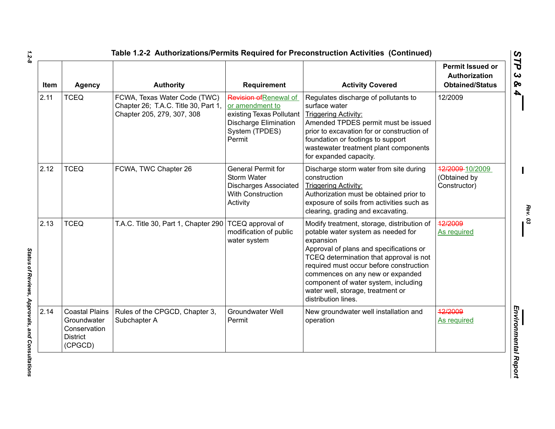| <b>Item</b> | <b>Agency</b>                                                                      | <b>Authority</b>                                                                                   | <b>Requirement</b>                                                                                                                | <b>Activity Covered</b>                                                                                                                                                                                                                                                                                                                                                | <b>Permit Issued or</b><br><b>Authorization</b><br><b>Obtained/Status</b> |
|-------------|------------------------------------------------------------------------------------|----------------------------------------------------------------------------------------------------|-----------------------------------------------------------------------------------------------------------------------------------|------------------------------------------------------------------------------------------------------------------------------------------------------------------------------------------------------------------------------------------------------------------------------------------------------------------------------------------------------------------------|---------------------------------------------------------------------------|
| 2.11        | <b>TCEQ</b>                                                                        | FCWA, Texas Water Code (TWC)<br>Chapter 26; T.A.C. Title 30, Part 1,<br>Chapter 205, 279, 307, 308 | Revision of Renewal of<br>or amendment to<br>existing Texas Pollutant<br><b>Discharge Elimination</b><br>System (TPDES)<br>Permit | Regulates discharge of pollutants to<br>surface water<br><b>Triggering Activity:</b><br>Amended TPDES permit must be issued<br>prior to excavation for or construction of<br>foundation or footings to support<br>wastewater treatment plant components<br>for expanded capacity.                                                                                      | 12/2009                                                                   |
| 2.12        | <b>TCEQ</b>                                                                        | FCWA, TWC Chapter 26                                                                               | <b>General Permit for</b><br>Storm Water<br><b>Discharges Associated</b><br>With Construction<br>Activity                         | Discharge storm water from site during<br>construction<br><b>Triggering Activity:</b><br>Authorization must be obtained prior to<br>exposure of soils from activities such as<br>clearing, grading and excavating.                                                                                                                                                     | 12/2009-10/2009<br>(Obtained by<br>Constructor)                           |
| 2.13        | <b>TCEQ</b>                                                                        | T.A.C. Title 30, Part 1, Chapter 290                                                               | TCEQ approval of<br>modification of public<br>water system                                                                        | Modify treatment, storage, distribution of<br>potable water system as needed for<br>expansion<br>Approval of plans and specifications or<br>TCEQ determination that approval is not<br>required must occur before construction<br>commences on any new or expanded<br>component of water system, including<br>water well, storage, treatment or<br>distribution lines. | 12/2009<br>As required                                                    |
| 2.14        | <b>Coastal Plains</b><br>Groundwater<br>Conservation<br><b>District</b><br>(CPGCD) | Rules of the CPGCD, Chapter 3,<br>Subchapter A                                                     | <b>Groundwater Well</b><br>Permit                                                                                                 | New groundwater well installation and<br>operation                                                                                                                                                                                                                                                                                                                     | 12/2009<br><b>As required</b>                                             |

*1.2-8*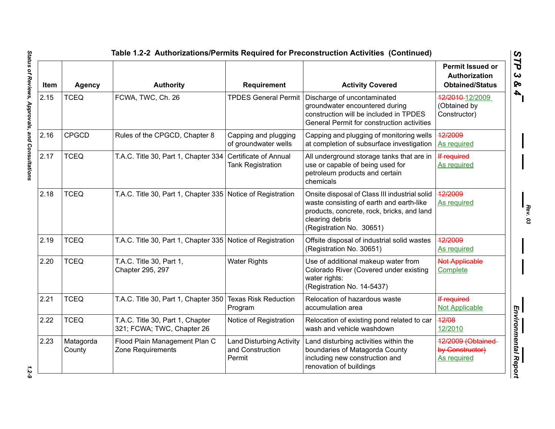|      |                     |                                                                |                                                               | Table 1.2-2 Authorizations/Permits Required for Preconstruction Activities (Continued)                                                                                                 |                                                                    |
|------|---------------------|----------------------------------------------------------------|---------------------------------------------------------------|----------------------------------------------------------------------------------------------------------------------------------------------------------------------------------------|--------------------------------------------------------------------|
| Item | <b>Agency</b>       | <b>Authority</b>                                               | <b>Requirement</b>                                            | <b>Activity Covered</b>                                                                                                                                                                | <b>Permit Issued or</b><br>Authorization<br><b>Obtained/Status</b> |
| 2.15 | <b>TCEQ</b>         | FCWA, TWC, Ch. 26                                              | <b>TPDES General Permit</b>                                   | Discharge of uncontaminated<br>groundwater encountered during<br>construction will be included in TPDES<br>General Permit for construction activities                                  | 12/2010-12/2009<br>(Obtained by<br>Constructor)                    |
| 2.16 | <b>CPGCD</b>        | Rules of the CPGCD, Chapter 8                                  | Capping and plugging<br>of groundwater wells                  | Capping and plugging of monitoring wells<br>at completion of subsurface investigation                                                                                                  | 12/2009<br><b>As required</b>                                      |
| 2.17 | <b>TCEQ</b>         | T.A.C. Title 30, Part 1, Chapter 334                           | Certificate of Annual<br><b>Tank Registration</b>             | All underground storage tanks that are in<br>use or capable of being used for<br>petroleum products and certain<br>chemicals                                                           | If required<br>As required                                         |
| 2.18 | <b>TCEQ</b>         | T.A.C. Title 30, Part 1, Chapter 335 Notice of Registration    |                                                               | Onsite disposal of Class III industrial solid<br>waste consisting of earth and earth-like<br>products, concrete, rock, bricks, and land<br>clearing debris<br>(Registration No. 30651) | 12/2009<br>As required                                             |
| 2.19 | <b>TCEQ</b>         | T.A.C. Title 30, Part 1, Chapter 335 Notice of Registration    |                                                               | Offsite disposal of industrial solid wastes<br>(Registration No. 30651)                                                                                                                | 12/2009<br>As required                                             |
| 2.20 | <b>TCEQ</b>         | T.A.C. Title 30, Part 1,<br>Chapter 295, 297                   | <b>Water Rights</b>                                           | Use of additional makeup water from<br>Colorado River (Covered under existing<br>water rights:<br>(Registration No. 14-5437)                                                           | <b>Not Applicable</b><br>Complete                                  |
| 2.21 | <b>TCEQ</b>         | T.A.C. Title 30, Part 1, Chapter 350                           | <b>Texas Risk Reduction</b><br>Program                        | Relocation of hazardous waste<br>accumulation area                                                                                                                                     | If required<br><b>Not Applicable</b>                               |
| 2.22 | <b>TCEQ</b>         | T.A.C. Title 30, Part 1, Chapter<br>321; FCWA; TWC, Chapter 26 | Notice of Registration                                        | Relocation of existing pond related to car<br>wash and vehicle washdown                                                                                                                | 12/08<br>12/2010                                                   |
| 2.23 | Matagorda<br>County | Flood Plain Management Plan C<br>Zone Requirements             | <b>Land Disturbing Activity</b><br>and Construction<br>Permit | Land disturbing activities within the<br>boundaries of Matagorda County<br>including new construction and<br>renovation of buildings                                                   | 12/2009 (Obtained-<br>by Constructor)<br>As required               |

Status of Reviews, Approvals, and Consultations *Status of Reviews, Approvals, and Consultations 1.2-9*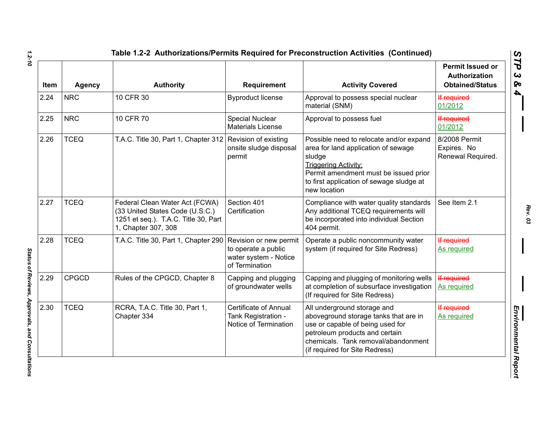| Item | <b>Agency</b> | <b>Authority</b>                                                                                                                 | <b>Requirement</b>                                                                       | <b>Activity Covered</b>                                                                                                                                                                                                      | <b>Permit Issued or</b><br>Authorization<br><b>Obtained/Status</b> |
|------|---------------|----------------------------------------------------------------------------------------------------------------------------------|------------------------------------------------------------------------------------------|------------------------------------------------------------------------------------------------------------------------------------------------------------------------------------------------------------------------------|--------------------------------------------------------------------|
| 2.24 | <b>NRC</b>    | 10 CFR 30                                                                                                                        | <b>Byproduct license</b>                                                                 | Approval to possess special nuclear<br>material (SNM)                                                                                                                                                                        | If required<br>01/2012                                             |
| 2.25 | <b>NRC</b>    | 10 CFR 70                                                                                                                        | <b>Special Nuclear</b><br><b>Materials License</b>                                       | Approval to possess fuel                                                                                                                                                                                                     | If required<br>01/2012                                             |
| 2.26 | <b>TCEQ</b>   | T.A.C. Title 30, Part 1, Chapter 312 Revision of existing                                                                        | onsite sludge disposal<br>permit                                                         | Possible need to relocate and/or expand<br>area for land application of sewage<br>sludge<br><b>Triggering Activity:</b><br>Permit amendment must be issued prior<br>to first application of sewage sludge at<br>new location | 8/2008 Permit<br>Expires. No<br>Renewal Required.                  |
| 2.27 | <b>TCEQ</b>   | Federal Clean Water Act (FCWA)<br>(33 United States Code (U.S.C.)<br>1251 et seq.). T.A.C. Title 30, Part<br>1, Chapter 307, 308 | Section 401<br>Certification                                                             | Compliance with water quality standards<br>Any additional TCEQ requirements will<br>be incorporated into individual Section<br>404 permit.                                                                                   | See Item 2.1                                                       |
| 2.28 | <b>TCEQ</b>   | T.A.C. Title 30, Part 1, Chapter 290                                                                                             | Revision or new permit<br>to operate a public<br>water system - Notice<br>of Termination | Operate a public noncommunity water<br>system (if required for Site Redress)                                                                                                                                                 | If required<br>As required                                         |
| 2.29 | <b>CPGCD</b>  | Rules of the CPGCD, Chapter 8                                                                                                    | Capping and plugging<br>of groundwater wells                                             | Capping and plugging of monitoring wells<br>at completion of subsurface investigation<br>(If required for Site Redress)                                                                                                      | If required<br>As required                                         |
| 2.30 | <b>TCEQ</b>   | RCRA, T.A.C. Title 30, Part 1,<br>Chapter 334                                                                                    | <b>Certificate of Annual</b><br>Tank Registration -<br>Notice of Termination             | All underground storage and<br>aboveground storage tanks that are in<br>use or capable of being used for<br>petroleum products and certain<br>chemicals. Tank removal/abandonment<br>(if required for Site Redress)          | If required<br>As required                                         |

*1.2-10*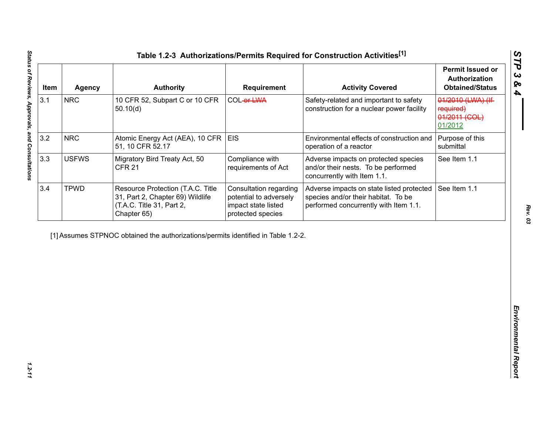| Item | <b>Agency</b> | <b>Authority</b>                                                                                                  | <b>Requirement</b>                                                                                  | <b>Activity Covered</b>                                                                                                   | <b>Permit Issued or</b><br><b>Authorization</b><br><b>Obtained/Status</b> |
|------|---------------|-------------------------------------------------------------------------------------------------------------------|-----------------------------------------------------------------------------------------------------|---------------------------------------------------------------------------------------------------------------------------|---------------------------------------------------------------------------|
| 3.1  | <b>NRC</b>    | 10 CFR 52, Subpart C or 10 CFR<br>50.10(d)                                                                        | COL-or-LWA                                                                                          | Safety-related and important to safety<br>construction for a nuclear power facility                                       | 01/2010 (LWA) (If<br>required)<br>01/2011 (COL)<br>01/2012                |
| 3.2  | <b>NRC</b>    | Atomic Energy Act (AEA), 10 CFR<br>51, 10 CFR 52.17                                                               | <b>EIS</b>                                                                                          | Environmental effects of construction and<br>operation of a reactor                                                       | Purpose of this<br>submittal                                              |
| 3.3  | <b>USFWS</b>  | Migratory Bird Treaty Act, 50<br><b>CFR 21</b>                                                                    | Compliance with<br>requirements of Act                                                              | Adverse impacts on protected species<br>and/or their nests. To be performed<br>concurrently with Item 1.1.                | See Item 1.1                                                              |
| 3.4  | <b>TPWD</b>   | Resource Protection (T.A.C. Title<br>31, Part 2, Chapter 69) Wildlife<br>(T.A.C. Title 31, Part 2,<br>Chapter 65) | <b>Consultation regarding</b><br>potential to adversely<br>impact state listed<br>protected species | Adverse impacts on state listed protected<br>species and/or their habitat. To be<br>performed concurrently with Item 1.1. | See Item 1.1                                                              |
|      |               | [1] Assumes STPNOC obtained the authorizations/permits identified in Table 1.2-2.                                 |                                                                                                     |                                                                                                                           |                                                                           |
|      |               |                                                                                                                   |                                                                                                     |                                                                                                                           |                                                                           |
|      |               |                                                                                                                   |                                                                                                     |                                                                                                                           |                                                                           |
|      |               |                                                                                                                   |                                                                                                     |                                                                                                                           |                                                                           |
|      |               |                                                                                                                   |                                                                                                     |                                                                                                                           |                                                                           |
|      |               |                                                                                                                   |                                                                                                     |                                                                                                                           |                                                                           |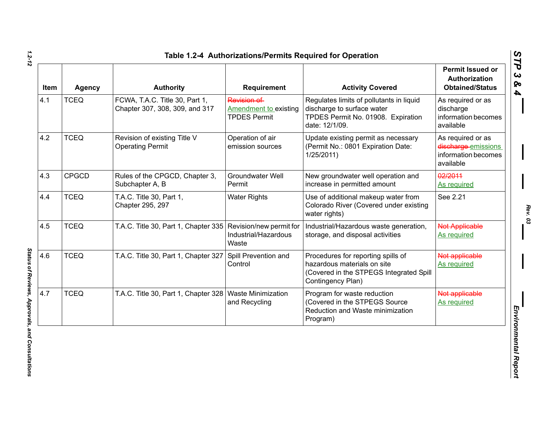| Item | Agency       | <b>Authority</b>                                                 | Requirement                                                        | <b>Activity Covered</b>                                                                                                           | <b>Permit Issued or</b><br><b>Authorization</b><br><b>Obtained/Status</b>    |
|------|--------------|------------------------------------------------------------------|--------------------------------------------------------------------|-----------------------------------------------------------------------------------------------------------------------------------|------------------------------------------------------------------------------|
| 4.1  | <b>TCEQ</b>  | FCWA, T.A.C. Title 30, Part 1,<br>Chapter 307, 308, 309, and 317 | Revision of<br><b>Amendment to existing</b><br><b>TPDES Permit</b> | Regulates limits of pollutants in liquid<br>discharge to surface water<br>TPDES Permit No. 01908. Expiration<br>date: 12/1/09.    | As required or as<br>discharge<br>information becomes<br>available           |
| 4.2  | <b>TCEQ</b>  | Revision of existing Title V<br><b>Operating Permit</b>          | Operation of air<br>emission sources                               | Update existing permit as necessary<br>(Permit No.: 0801 Expiration Date:<br>1/25/2011)                                           | As required or as<br>discharge emissions<br>information becomes<br>available |
| 4.3  | <b>CPGCD</b> | Rules of the CPGCD, Chapter 3,<br>Subchapter A, B                | Groundwater Well<br>Permit                                         | New groundwater well operation and<br>increase in permitted amount                                                                | 02/2011<br>As required                                                       |
| 4.4  | <b>TCEQ</b>  | T.A.C. Title 30, Part 1,<br>Chapter 295, 297                     | <b>Water Rights</b>                                                | Use of additional makeup water from<br>Colorado River (Covered under existing<br>water rights)                                    | See 2.21                                                                     |
| 4.5  | <b>TCEQ</b>  | T.A.C. Title 30, Part 1, Chapter 335                             | Revision/new permit for<br>Industrial/Hazardous<br>Waste           | Industrial/Hazardous waste generation,<br>storage, and disposal activities                                                        | <b>Not Applicable</b><br>As required                                         |
| 4.6  | <b>TCEQ</b>  | T.A.C. Title 30, Part 1, Chapter 327                             | Spill Prevention and<br>Control                                    | Procedures for reporting spills of<br>hazardous materials on site<br>(Covered in the STPEGS Integrated Spill<br>Contingency Plan) | Not applicable<br><b>As required</b>                                         |
| 4.7  | <b>TCEQ</b>  | T.A.C. Title 30, Part 1, Chapter 328                             | <b>Waste Minimization</b><br>and Recycling                         | Program for waste reduction<br>(Covered in the STPEGS Source<br>Reduction and Waste minimization<br>Program)                      | Not applicable<br>As required                                                |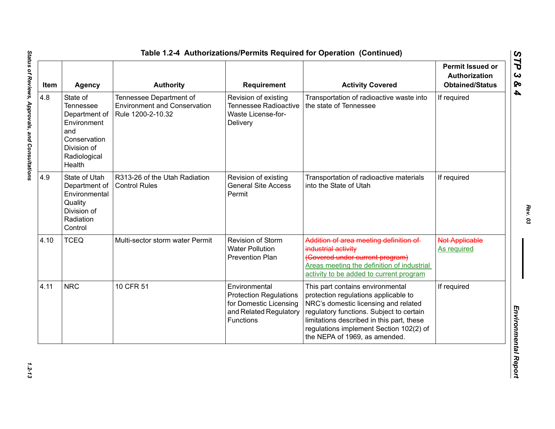| Item | <b>Agency</b>                                                                                                         | <b>Authority</b>                                                                    | <b>Requirement</b>                                                                                              | <b>Activity Covered</b>                                                                                                                                                                                                                                                               | <b>Permit Issued or</b><br><b>Authorization</b><br><b>Obtained/Status</b> |
|------|-----------------------------------------------------------------------------------------------------------------------|-------------------------------------------------------------------------------------|-----------------------------------------------------------------------------------------------------------------|---------------------------------------------------------------------------------------------------------------------------------------------------------------------------------------------------------------------------------------------------------------------------------------|---------------------------------------------------------------------------|
| 4.8  | State of<br>Tennessee<br>Department of<br>Environment<br>and<br>Conservation<br>Division of<br>Radiological<br>Health | Tennessee Department of<br><b>Environment and Conservation</b><br>Rule 1200-2-10.32 | Revision of existing<br>Tennessee Radioactive<br>Waste License-for-<br>Delivery                                 | Transportation of radioactive waste into<br>the state of Tennessee                                                                                                                                                                                                                    | If required                                                               |
| 4.9  | State of Utah<br>Department of<br>Environmental<br>Quality<br>Division of<br>Radiation<br>Control                     | R313-26 of the Utah Radiation<br><b>Control Rules</b>                               | Revision of existing<br><b>General Site Access</b><br>Permit                                                    | Transportation of radioactive materials<br>into the State of Utah                                                                                                                                                                                                                     | If required                                                               |
| 4.10 | <b>TCEQ</b>                                                                                                           | Multi-sector storm water Permit                                                     | Revision of Storm<br><b>Water Pollution</b><br><b>Prevention Plan</b>                                           | Addition of area meeting definition of<br>industrial activity<br>(Covered under current program)<br>Areas meeting the definition of industrial<br>activity to be added to current program                                                                                             | <b>Not Applicable</b><br>As required                                      |
| 4.11 | <b>NRC</b>                                                                                                            | 10 CFR 51                                                                           | Environmental<br><b>Protection Regulations</b><br>for Domestic Licensing<br>and Related Regulatory<br>Functions | This part contains environmental<br>protection regulations applicable to<br>NRC's domestic licensing and related<br>regulatory functions. Subject to certain<br>limitations described in this part, these<br>regulations implement Section 102(2) of<br>the NEPA of 1969, as amended. | If required                                                               |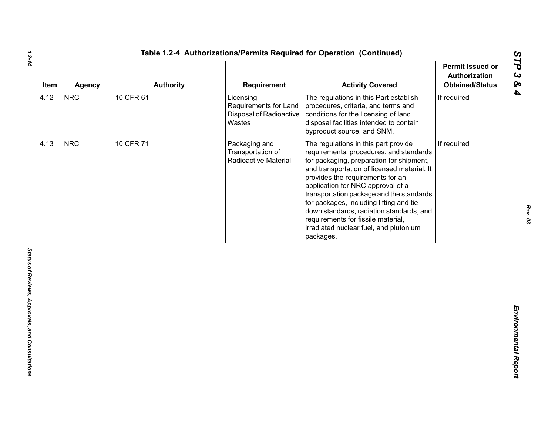| 10 CFR 61<br><b>NRC</b><br>The regulations in this Part establish<br>If required<br>Licensing<br>Requirements for Land<br>procedures, criteria, and terms and<br><b>Disposal of Radioactive</b><br>conditions for the licensing of land<br>Wastes<br>disposal facilities intended to contain<br>byproduct source, and SNM.<br><b>NRC</b><br>10 CFR 71<br>If required<br>Packaging and<br>The regulations in this part provide<br>Transportation of<br>requirements, procedures, and standards<br>Radioactive Material<br>for packaging, preparation for shipment,<br>and transportation of licensed material. It<br>provides the requirements for an<br>application for NRC approval of a<br>transportation package and the standards<br>for packages, including lifting and tie<br>down standards, radiation standards, and<br>requirements for fissile material,<br>irradiated nuclear fuel, and plutonium<br>packages. | Item | Agency | <b>Authority</b> | <b>Requirement</b> | <b>Activity Covered</b> | <b>Permit Issued or</b><br>Authorization<br><b>Obtained/Status</b> |
|---------------------------------------------------------------------------------------------------------------------------------------------------------------------------------------------------------------------------------------------------------------------------------------------------------------------------------------------------------------------------------------------------------------------------------------------------------------------------------------------------------------------------------------------------------------------------------------------------------------------------------------------------------------------------------------------------------------------------------------------------------------------------------------------------------------------------------------------------------------------------------------------------------------------------|------|--------|------------------|--------------------|-------------------------|--------------------------------------------------------------------|
|                                                                                                                                                                                                                                                                                                                                                                                                                                                                                                                                                                                                                                                                                                                                                                                                                                                                                                                           | 4.12 |        |                  |                    |                         |                                                                    |
|                                                                                                                                                                                                                                                                                                                                                                                                                                                                                                                                                                                                                                                                                                                                                                                                                                                                                                                           | 4.13 |        |                  |                    |                         |                                                                    |
|                                                                                                                                                                                                                                                                                                                                                                                                                                                                                                                                                                                                                                                                                                                                                                                                                                                                                                                           |      |        |                  |                    |                         |                                                                    |